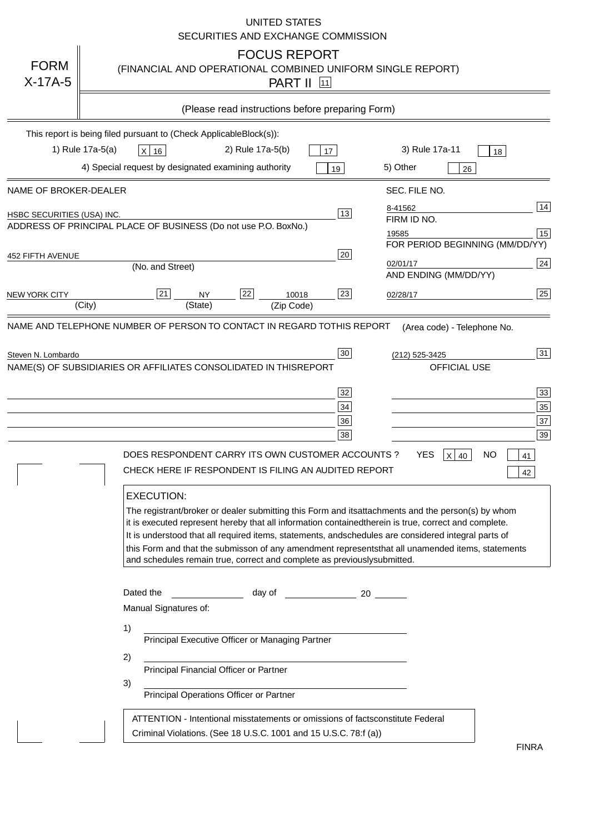|                                   | <b>UNITED STATES</b><br>SECURITIES AND EXCHANGE COMMISSION                                                                                                                                                                                                                                                                                                                                                                                                                                                                                                                                                                                                                                                                                                                                                                                                                                             |
|-----------------------------------|--------------------------------------------------------------------------------------------------------------------------------------------------------------------------------------------------------------------------------------------------------------------------------------------------------------------------------------------------------------------------------------------------------------------------------------------------------------------------------------------------------------------------------------------------------------------------------------------------------------------------------------------------------------------------------------------------------------------------------------------------------------------------------------------------------------------------------------------------------------------------------------------------------|
| <b>FORM</b><br>$X-17A-5$          | <b>FOCUS REPORT</b><br>(FINANCIAL AND OPERATIONAL COMBINED UNIFORM SINGLE REPORT)<br><b>PART II</b> 11                                                                                                                                                                                                                                                                                                                                                                                                                                                                                                                                                                                                                                                                                                                                                                                                 |
|                                   | (Please read instructions before preparing Form)                                                                                                                                                                                                                                                                                                                                                                                                                                                                                                                                                                                                                                                                                                                                                                                                                                                       |
|                                   | This report is being filed pursuant to (Check Applicable<br>$Block(s)$ :<br>3) Rule 17a-11<br>1) Rule 17a-5(a)<br>2) Rule 17a-5(b)<br>$X$ 16<br>17<br>18<br>4) Special request by designated examining authority<br>5) Other<br>19<br>26                                                                                                                                                                                                                                                                                                                                                                                                                                                                                                                                                                                                                                                               |
| NAME OF BROKER-DEALER             | SEC. FILE NO.                                                                                                                                                                                                                                                                                                                                                                                                                                                                                                                                                                                                                                                                                                                                                                                                                                                                                          |
| <b>HSBC SECURITIES (USA) INC.</b> | 14<br>8-41562<br>13<br>FIRM ID NO.<br>ADDRESS OF PRINCIPAL PLACE OF BUSINESS (Do not use P.O. Box<br>No.)<br>15<br>19585<br>FOR PERIOD BEGINNING (MM/DD/YY)                                                                                                                                                                                                                                                                                                                                                                                                                                                                                                                                                                                                                                                                                                                                            |
| <b>452 FIFTH AVENUE</b>           | 20<br>24<br>02/01/17<br>(No. and Street)<br>AND ENDING (MM/DD/YY)                                                                                                                                                                                                                                                                                                                                                                                                                                                                                                                                                                                                                                                                                                                                                                                                                                      |
| <b>NEW YORK CITY</b>              | 25<br>22<br>21<br>23<br><b>NY</b><br>10018<br>02/28/17<br>(City)<br>(State)<br>(Zip Code)                                                                                                                                                                                                                                                                                                                                                                                                                                                                                                                                                                                                                                                                                                                                                                                                              |
| Steven N. Lombardo                | 31<br>30<br>(212) 525-3425<br>NAME(S) OF SUBSIDIARIES OR AFFILIATES CONSOLIDATED IN THIS<br><b>REPORT</b><br><b>OFFICIAL USE</b><br>$\overline{33}$<br>32<br>35<br>34<br>37<br>36<br>39<br>38<br>DOES RESPONDENT CARRY ITS OWN CUSTOMER ACCOUNTS?<br><b>YES</b><br>$X$ 40<br><b>NO</b><br>41<br>CHECK HERE IF RESPONDENT IS FILING AN AUDITED REPORT<br>42<br><b>EXECUTION:</b><br>The registrant/broker or dealer submitting this Form and its<br>attachments and the person(s) by whom<br>it is executed represent hereby that all information contained<br>therein is true, correct and complete.<br>It is understood that all required items, statements, and<br>schedules are considered integral parts of<br>this Form and that the submisson of any amendment represents<br>that all unamended items, statements<br>and schedules remain true, correct and complete as previously<br>submitted. |
|                                   | Dated the<br>day of<br>20<br>Manual Signatures of:<br>1)<br>Principal Executive Officer or Managing Partner<br>2)<br>Principal Financial Officer or Partner<br>3)<br>Principal Operations Officer or Partner                                                                                                                                                                                                                                                                                                                                                                                                                                                                                                                                                                                                                                                                                           |
|                                   | ATTENTION - Intentional misstatements or omissions of facts<br>constitute Federal<br>Criminal Violations. (See 18 U.S.C. 1001 and 15 U.S.C. 78:f (a)<br>$\lambda$<br><b>FINRA</b>                                                                                                                                                                                                                                                                                                                                                                                                                                                                                                                                                                                                                                                                                                                      |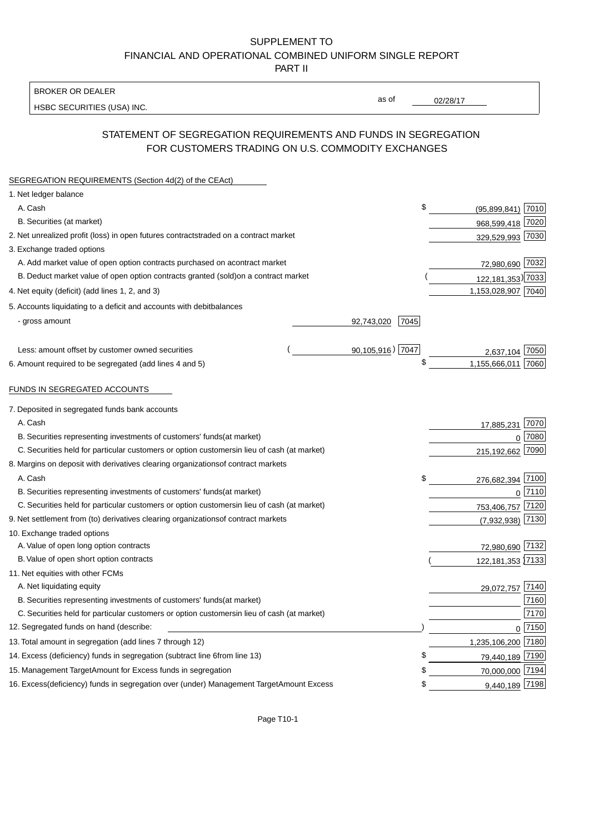BROKER OR DEALER

HSBC SECURITIES (USA) INC.

02/28/17

as of

## STATEMENT OF SEGREGATION REQUIREMENTS AND FUNDS IN SEGREGATION FOR CUSTOMERS TRADING ON U.S. COMMODITY EXCHANGES

| SEGREGATION REQUIREMENTS (Section 4d(2) of the CEAct)                                          |                     |                     |                |
|------------------------------------------------------------------------------------------------|---------------------|---------------------|----------------|
| 1. Net ledger balance                                                                          |                     |                     |                |
| A. Cash                                                                                        | \$                  | $(95,899,841)$ 7010 |                |
| B. Securities (at market)                                                                      |                     | 968,599,418 7020    |                |
| 2. Net unrealized profit (loss) in open futures contracts<br>traded on a contract market       |                     | 329,529,993 7030    |                |
| 3. Exchange traded options                                                                     |                     |                     |                |
| A. Add market value of open option contracts purchased on a<br>contract market                 |                     | 72,980,690 7032     |                |
| B. Deduct market value of open option contracts granted (sold)<br>on a contract market         |                     | 122,181,353) 7033   |                |
| 4. Net equity (deficit) (add lines 1, 2, and 3)                                                |                     | 1,153,028,907 7040  |                |
| 5. Accounts liquidating to a deficit and accounts with debit<br>balances                       |                     |                     |                |
| - gross amount                                                                                 | 92,743,020<br>7045  |                     |                |
|                                                                                                |                     |                     |                |
| Less: amount offset by customer owned securities                                               | $90,105,916$ ) 7047 | 2,637,104           | 7050           |
| 6. Amount required to be segregated (add lines 4 and 5)                                        | \$                  | 1,155,666,011 7060  |                |
|                                                                                                |                     |                     |                |
| FUNDS IN SEGREGATED ACCOUNTS                                                                   |                     |                     |                |
| 7. Deposited in segregated funds bank accounts                                                 |                     |                     |                |
| A. Cash                                                                                        |                     | 17,885,231          | 7070           |
| B. Securities representing investments of customers' funds<br>(at market)                      |                     | $\Omega$            | 7080           |
| C. Securities held for particular customers or option customers<br>in lieu of cash (at market) |                     | 215,192,662         | 7090           |
| 8. Margins on deposit with derivatives clearing organizations<br>of contract markets           |                     |                     |                |
| A. Cash                                                                                        | \$                  | 276,682,394 7100    |                |
| B. Securities representing investments of customers' funds<br>(at market)                      |                     | $\Omega$            | 7110           |
| C. Securities held for particular customers or option customers<br>in lieu of cash (at market) |                     | 753,406,757 7120    |                |
| 9. Net settlement from (to) derivatives clearing organizations<br>of contract markets          |                     | (7,932,938)         | 7130           |
| 10. Exchange traded options                                                                    |                     |                     |                |
| A. Value of open long option contracts                                                         |                     | 72,980,690 7132     |                |
| B. Value of open short option contracts                                                        |                     | 122, 181, 353 7133  |                |
| 11. Net equities with other FCMs                                                               |                     |                     |                |
| A. Net liquidating equity                                                                      |                     | 29,072,757          | 7140           |
| B. Securities representing investments of customers' funds<br>(at market)                      |                     |                     | 7160           |
| C. Securities held for particular customers or option customers<br>in lieu of cash (at market) |                     |                     | 7170           |
| 12. Segregated funds on hand (describe:                                                        |                     |                     | $0\sqrt{7150}$ |
| 13. Total amount in segregation (add lines 7 through 12)                                       |                     | 1,235,106,200 7180  |                |
| 14. Excess (deficiency) funds in segregation (subtract line 6<br>from line 13)                 | £                   | 79,440,189 7190     |                |
| 15. Management Target Amount for Excess funds in segregation                                   | \$                  | 70,000,000 7194     |                |
| 16. Excess (deficiency) funds in segregation over (under) Management Target Amount Excess      | \$                  | 9,440,189 7198      |                |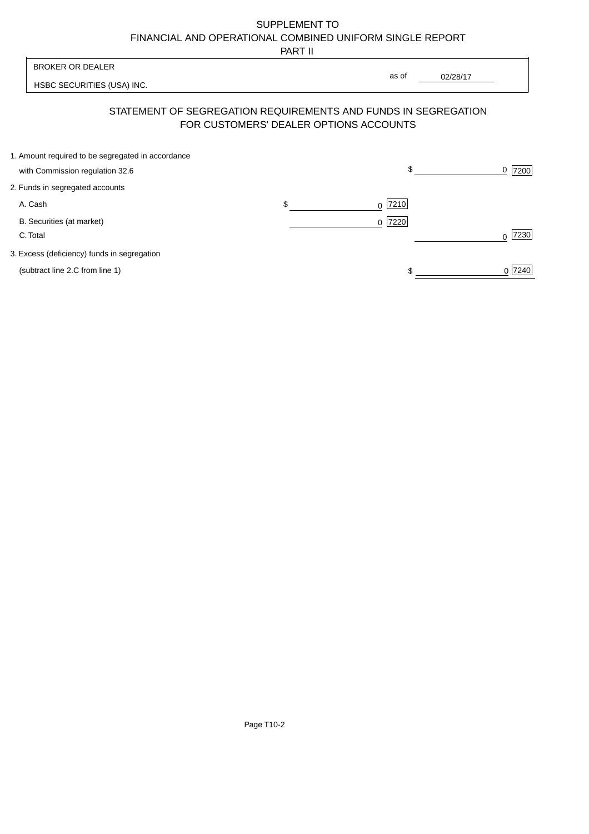PART II

|                                                   | .                                      |                                                                |                  |
|---------------------------------------------------|----------------------------------------|----------------------------------------------------------------|------------------|
| <b>BROKER OR DEALER</b>                           |                                        |                                                                |                  |
| HSBC SECURITIES (USA) INC.                        |                                        | as of<br>02/28/17                                              |                  |
|                                                   | FOR CUSTOMERS' DEALER OPTIONS ACCOUNTS | STATEMENT OF SEGREGATION REQUIREMENTS AND FUNDS IN SEGREGATION |                  |
| 1. Amount required to be segregated in accordance |                                        | \$                                                             | 0                |
| with Commission regulation 32.6                   |                                        |                                                                | 7200             |
| 2. Funds in segregated accounts                   |                                        |                                                                |                  |
| A. Cash                                           | \$                                     | 7210<br>0                                                      |                  |
| B. Securities (at market)                         |                                        | 7220<br>$\Omega$                                               |                  |
| C. Total                                          |                                        |                                                                | 7230<br>$\Omega$ |
| 3. Excess (deficiency) funds in segregation       |                                        |                                                                |                  |
| (subtract line 2.C from line 1)                   |                                        |                                                                | 0 7240           |
|                                                   |                                        |                                                                |                  |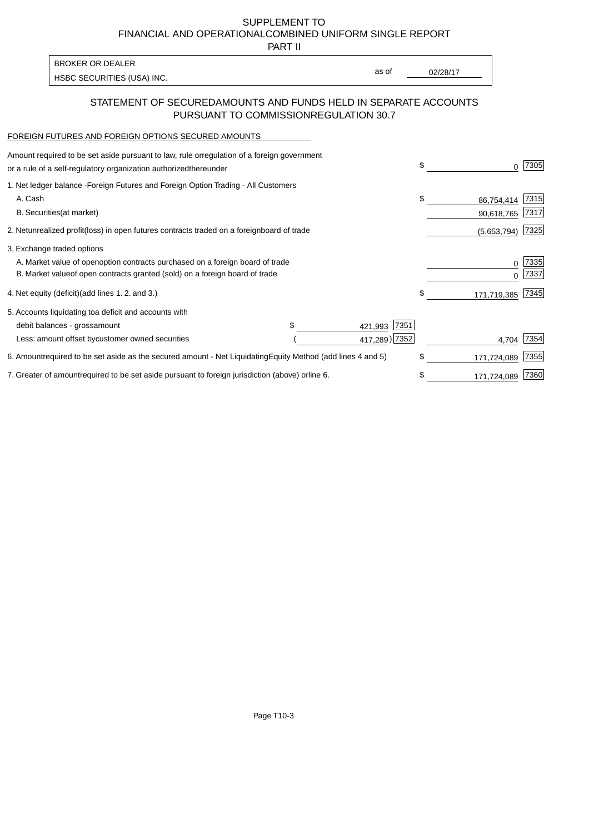PART II

as of

HSBC SECURITIES (USA) INC. The state of the second second second second second second second second second second second second second second second second second second second second second second second second second sec

### STATEMENT OF SECURED AMOUNTS AND FUNDS HELD IN SEPARATE ACCOUNTS PURSUANT TO COMMISSION REGULATION 30.7

#### FOREIGN FUTURES AND FOREIGN OPTIONS SECURED AMOUNTS

BROKER OR DEALER

| Amount required to be set aside pursuant to law, rule or<br>regulation of a foreign government<br>or a rule of a self-regulatory organization authorized<br>thereunder |                                   |                 | \$<br>0           | 7305         |
|------------------------------------------------------------------------------------------------------------------------------------------------------------------------|-----------------------------------|-----------------|-------------------|--------------|
| 1. Net ledger balance - Foreign Futures and Foreign Option Trading - All Customers<br>A. Cash                                                                          |                                   |                 | \$<br>86,754,414  | 7315         |
| <b>B.</b> Securities<br>(at market)                                                                                                                                    |                                   |                 | 90,618,765        | 7317         |
| 2. Net unrealized profit (loss) in open futures contracts traded on a foreign                                                                                          | board of trade                    |                 | (5,653,794)       | 7325         |
| 3. Exchange traded options                                                                                                                                             |                                   |                 |                   |              |
| A. Market value of open option contracts purchased on a foreign board of trade<br>B. Market value of open contracts granted (sold) on a foreign board of trade         |                                   |                 | 0<br>U            | 7335<br>7337 |
| 4. Net equity (deficit) (add lines 1.2. and 3.)                                                                                                                        |                                   |                 | \$<br>171,719,385 | 7345         |
| 5. Accounts liquidating to a deficit and accounts with                                                                                                                 |                                   |                 |                   |              |
| debit balances - gross<br>amount                                                                                                                                       |                                   | 7351<br>421,993 |                   |              |
| Less: amount offset by customer owned securities                                                                                                                       |                                   | 417,289) 7352   | 4.704             | 7354         |
| 6. Amount required to be set aside as the secured amount - Net Liquidating                                                                                             | Equity Method (add lines 4 and 5) |                 | \$<br>171,724,089 | 7355         |
| 7. Greater of amount required to be set aside pursuant to foreign jurisdiction (above) or                                                                              | line 6.                           |                 | \$<br>171,724,089 | 7360         |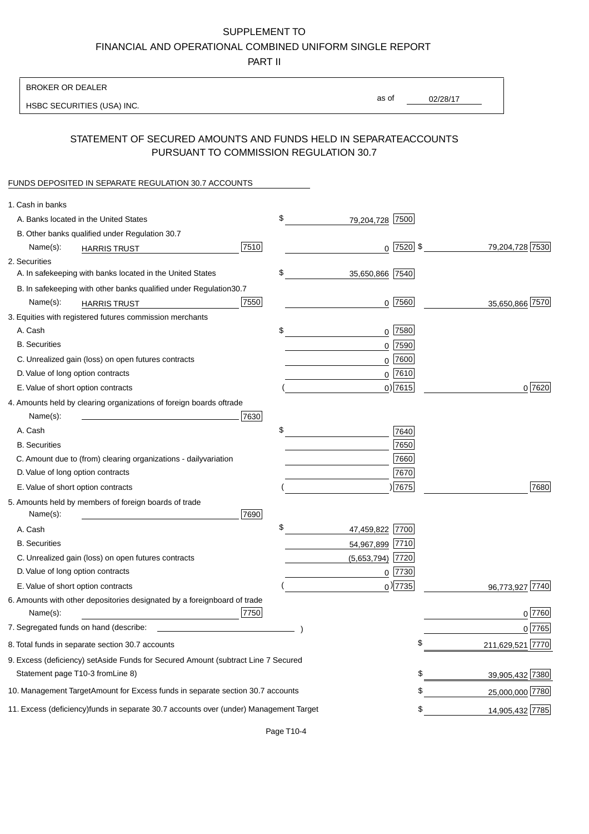PART II

| <b>BROKER OR DEALER</b>                                                                           |                       |                 |                  |
|---------------------------------------------------------------------------------------------------|-----------------------|-----------------|------------------|
| HSBC SECURITIES (USA) INC.                                                                        | as of                 | 02/28/17        |                  |
|                                                                                                   |                       |                 |                  |
| STATEMENT OF SECURED AMOUNTS AND FUNDS HELD IN SEPARATE<br>PURSUANT TO COMMISSION REGULATION 30.7 |                       | <b>ACCOUNTS</b> |                  |
| FUNDS DEPOSITED IN SEPARATE REGULATION 30.7 ACCOUNTS                                              |                       |                 |                  |
| 1. Cash in banks                                                                                  |                       |                 |                  |
| A. Banks located in the United States                                                             | \$<br>79,204,728 7500 |                 |                  |
| B. Other banks qualified under Regulation 30.7                                                    |                       |                 |                  |
| 7510<br>Name(s):<br><b>HARRIS TRUST</b>                                                           |                       | $0$ 7520 \$     | 79,204,728 7530  |
| 2. Securities                                                                                     |                       |                 |                  |
| A. In safekeeping with banks located in the United States                                         | \$<br>35,650,866 7540 |                 |                  |
| 30.7<br>B. In safekeeping with other banks qualified under Regulation                             |                       |                 |                  |
| 7550<br>Name(s):<br><b>HARRIS TRUST</b>                                                           |                       | $0$  7560       | 35,650,866 7570  |
| 3. Equities with registered futures commission merchants                                          |                       |                 |                  |
| A. Cash                                                                                           | \$                    | $0$ 7580        |                  |
| <b>B.</b> Securities                                                                              |                       | $0$ 7590        |                  |
| C. Unrealized gain (loss) on open futures contracts                                               | $\mathbf 0$           | 7600            |                  |
| D. Value of long option contracts                                                                 |                       | $0$ 7610        |                  |
| E. Value of short option contracts                                                                |                       | $0)$ 7615       | 0 7620           |
| 4. Amounts held by clearing organizations of foreign boards of<br>trade                           |                       |                 |                  |
| Name(s):<br>7630                                                                                  |                       |                 |                  |
| A. Cash                                                                                           | \$                    | 7640            |                  |
| <b>B.</b> Securities                                                                              |                       | 7650            |                  |
| C. Amount due to (from) clearing organizations - daily<br>variation                               |                       | 7660            |                  |
| D. Value of long option contracts                                                                 |                       | 7670            |                  |
| E. Value of short option contracts                                                                |                       | ) 7675          | 7680             |
| 5. Amounts held by members of foreign boards of trade<br>Name(s):<br>7690                         |                       |                 |                  |
| A. Cash                                                                                           | \$<br>47,459,822 7700 |                 |                  |
| <b>B.</b> Securities                                                                              | 54,967,899 7710       |                 |                  |
| C. Unrealized gain (loss) on open futures contracts                                               | (5,653,794)           | 7720            |                  |
| D. Value of long option contracts                                                                 |                       | $0$ 7730        |                  |
| E. Value of short option contracts                                                                |                       | $0$ ) 7735      | 96,773,927 7740  |
| 6. Amounts with other depositories designated by a foreign<br>board of trade<br>7750<br>Name(s):  |                       |                 | 0 7760           |
| 7. Segregated funds on hand (describe:                                                            |                       |                 | 0 7765           |
| 8. Total funds in separate section 30.7 accounts                                                  |                       | \$              | 211,629,521 7770 |
| 9. Excess (deficiency) set Aside Funds for Secured Amount (subtract Line 7 Secured                |                       |                 |                  |
| Statement page T10-3 from Line 8)                                                                 |                       | \$              | 39,905,432 7380  |
| 10. Management Target Amount for Excess funds in separate section 30.7 accounts                   |                       | \$              | 25,000,000 7780  |
| 11. Excess (deficiency) funds in separate 30.7 accounts over (under) Management Target            |                       | \$              | 14,905,432 7785  |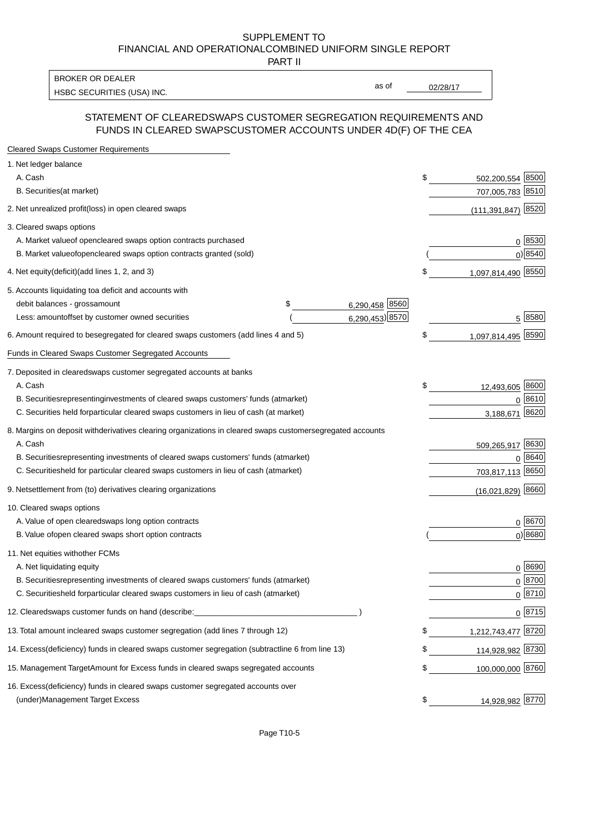PART II

HSBC SECURITIES (USA) INC. The state of the second second second second second second second second second second second second second second second second second second second second second second second second second sec BROKER OR DEALER

as of

#### STATEMENT OF CLEARED SWAPS CUSTOMER SEGREGATION REQUIREMENTS AND FUNDS IN CLEARED SWAPS CUSTOMER ACCOUNTS UNDER 4D(F) OF THE CEA

| <b>Cleared Swaps Customer Requirements</b>                                                                  |    |                         |
|-------------------------------------------------------------------------------------------------------------|----|-------------------------|
| 1. Net ledger balance                                                                                       |    |                         |
| A. Cash                                                                                                     | \$ | 8500<br>502,200,554     |
| B. Securities (at market)                                                                                   |    | 707,005,783 8510        |
| 2. Net unrealized profit (loss) in open cleared swaps                                                       |    | 8520<br>(111, 391, 847) |
| 3. Cleared swaps options                                                                                    |    |                         |
| A. Market value of open cleared swaps option contracts purchased                                            |    | 0   8530                |
| B. Market value of open cleared swaps option contracts granted (sold)                                       |    | $0)$ 8540               |
| 4. Net equity (deficit) (add lines 1, 2, and 3)                                                             | \$ | 1,097,814,490 8550      |
| 5. Accounts liquidating to a deficit and accounts with                                                      |    |                         |
| 6,290,458 8560<br>debit balances - gross<br>\$<br>amount                                                    |    |                         |
| 6,290,453) 8570<br>Less: amount offset by customer owned securities                                         |    | 5 8580                  |
| 6. Amount required to be segregated for cleared swaps customers (add lines 4 and 5)                         | S  | 1,097,814,495 8590      |
| Funds in Cleared Swaps Customer Segregated Accounts                                                         |    |                         |
| 7. Deposited in cleared swaps customer segregated accounts at banks                                         |    |                         |
| A. Cash                                                                                                     | \$ | 12,493,605 8600         |
| B. Securities representing investments of cleared swaps customers' funds (at market)                        |    | $0^{8610}$              |
| C. Securities held for particular cleared swaps customers in lieu of cash (at market)                       |    | 8620<br>3,188,671       |
| 8. Margins on deposit with derivatives clearing organizations in cleared swaps customer segregated accounts |    |                         |
| A. Cash                                                                                                     |    | 509,265,917 8630        |
| representing investments of cleared swaps customers' funds (at market)<br><b>B.</b> Securities              |    | 8640<br>0               |
| C. Securities held for particular cleared swaps customers in lieu of cash (at market)                       |    | 703,817,113 8650        |
| 9. Net settlement from (to) derivatives clearing organizations                                              |    | $(16,021,829)$ 8660     |
| 10. Cleared swaps options                                                                                   |    |                         |
| A. Value of open cleared swaps long option contracts                                                        |    | $0^{8670}$              |
| B. Value of open cleared swaps short option contracts                                                       |    | $0$ ) 8680              |
| 11. Net equities with other FCMs                                                                            |    |                         |
| A. Net liquidating equity                                                                                   |    | $0^{8690}$              |
| B. Securities representing investments of cleared swaps customers' funds (at market)                        |    | $0^{8700}$              |
| C. Securities held for particular cleared swaps customers in lieu of cash (at market)                       |    | 0 8710                  |
| 12. Cleared swaps customer funds on hand (describe:                                                         |    | $0 \;  8715 $           |
| 13. Total amount in cleared swaps customer segregation (add lines 7 through 12)                             | S  | 1,212,743,477 8720      |
| 14. Excess (deficiency) funds in cleared swaps customer segregation (subtract line 6 from line 13)          |    | 114,928,982 8730        |
| 15. Management Target Amount for Excess funds in cleared swaps segregated accounts                          | \$ | 100,000,000 8760        |
| 16. Excess<br>(deficiency) funds in cleared swaps customer segregated accounts over                         |    |                         |
| <b>Management Target Excess</b><br>(under)                                                                  | \$ | 14,928,982 8770         |